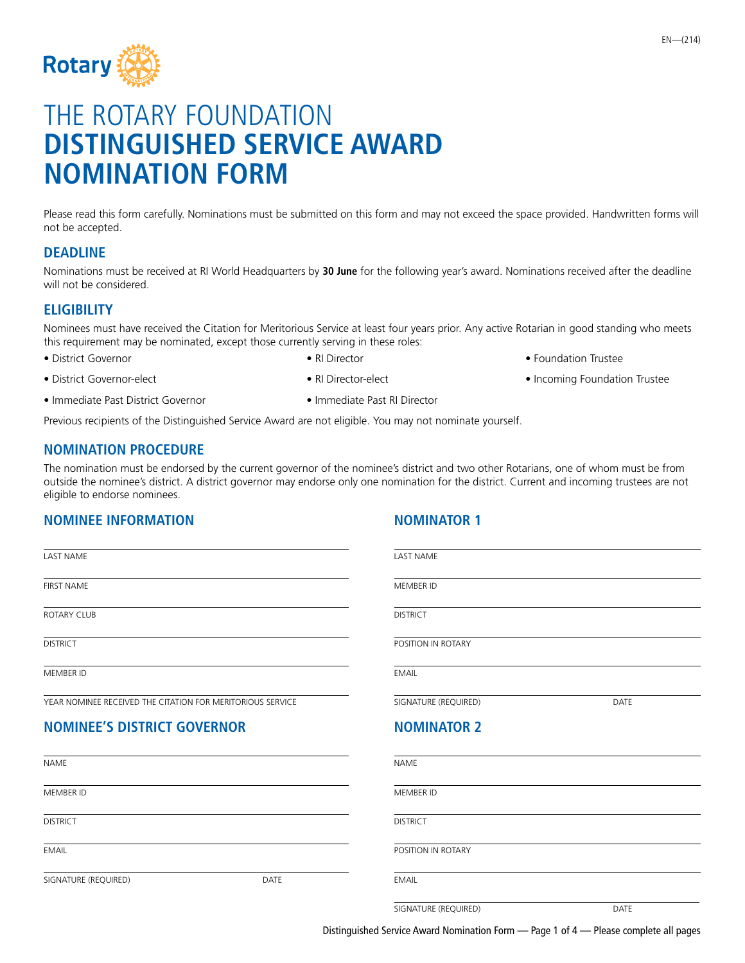

# THE ROTARY FOUNDATION **DISTINGUISHED SERVICE AWARD NOMINATION FORM**

Please read this form carefully. Nominations must be submitted on this form and may not exceed the space provided. Handwritten forms will not be accepted.

### **DEADLINE**

Nominations must be received at RI World Headquarters by **30 June** for the following year's award. Nominations received after the deadline will not be considered.

#### **ELIGIBILITY**

Nominees must have received the Citation for Meritorious Service at least four years prior. Any active Rotarian in good standing who meets this requirement may be nominated, except those currently serving in these roles:

- -
- 
- District Governor  **RI Director RI Director Foundation Trustee**
- District Governor-elect Provident RI Director-elect Provident Incoming Foundation Trustee
- Immediate Past District Governor Immediate Past RI Director
	-

Previous recipients of the Distinguished Service Award are not eligible. You may not nominate yourself.

#### **NOMINATION PROCEDURE**

The nomination must be endorsed by the current governor of the nominee's district and two other Rotarians, one of whom must be from outside the nominee's district. A district governor may endorse only one nomination for the district. Current and incoming trustees are not eligible to endorse nominees.

## **NOMINEE INFORMATION CONSUMINATION CONSUMINATION**

| <b>LAST NAME</b>                                           |             | <b>LAST NAME</b>     |             |
|------------------------------------------------------------|-------------|----------------------|-------------|
| <b>FIRST NAME</b>                                          |             | MEMBER ID            |             |
| <b>ROTARY CLUB</b>                                         |             | <b>DISTRICT</b>      |             |
| <b>DISTRICT</b>                                            |             | POSITION IN ROTARY   |             |
| MEMBER ID                                                  |             | <b>EMAIL</b>         |             |
| YEAR NOMINEE RECEIVED THE CITATION FOR MERITORIOUS SERVICE |             | SIGNATURE (REQUIRED) | <b>DATE</b> |
| <b>NOMINEE'S DISTRICT GOVERNOR</b>                         |             | <b>NOMINATOR 2</b>   |             |
| <b>NAME</b>                                                |             | <b>NAME</b>          |             |
| MEMBER ID                                                  |             | MEMBER ID            |             |
| <b>DISTRICT</b>                                            |             | <b>DISTRICT</b>      |             |
| <b>EMAIL</b>                                               |             | POSITION IN ROTARY   |             |
| SIGNATURE (REQUIRED)                                       | <b>DATE</b> | <b>EMAIL</b>         |             |
|                                                            |             | SIGNATURE (REQUIRED) | <b>DATE</b> |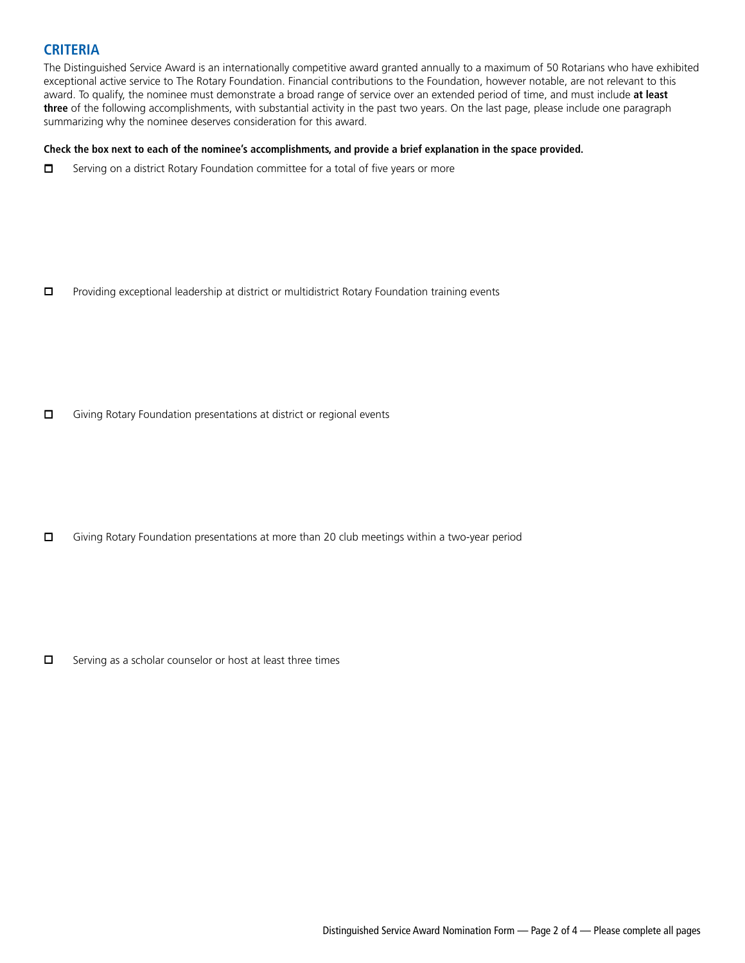#### **CRITERIA**

The Distinguished Service Award is an internationally competitive award granted annually to a maximum of 50 Rotarians who have exhibited exceptional active service to The Rotary Foundation. Financial contributions to the Foundation, however notable, are not relevant to this award. To qualify, the nominee must demonstrate a broad range of service over an extended period of time, and must include **at least three** of the following accomplishments, with substantial activity in the past two years. On the last page, please include one paragraph summarizing why the nominee deserves consideration for this award.

#### **Check the box next to each of the nominee's accomplishments, and provide a brief explanation in the space provided.**

 $\Box$  Serving on a district Rotary Foundation committee for a total of five years or more

 $\Box$  Providing exceptional leadership at district or multidistrict Rotary Foundation training events

 $\Box$  Giving Rotary Foundation presentations at district or regional events

 $\square$  Giving Rotary Foundation presentations at more than 20 club meetings within a two-year period

 $\square$  Serving as a scholar counselor or host at least three times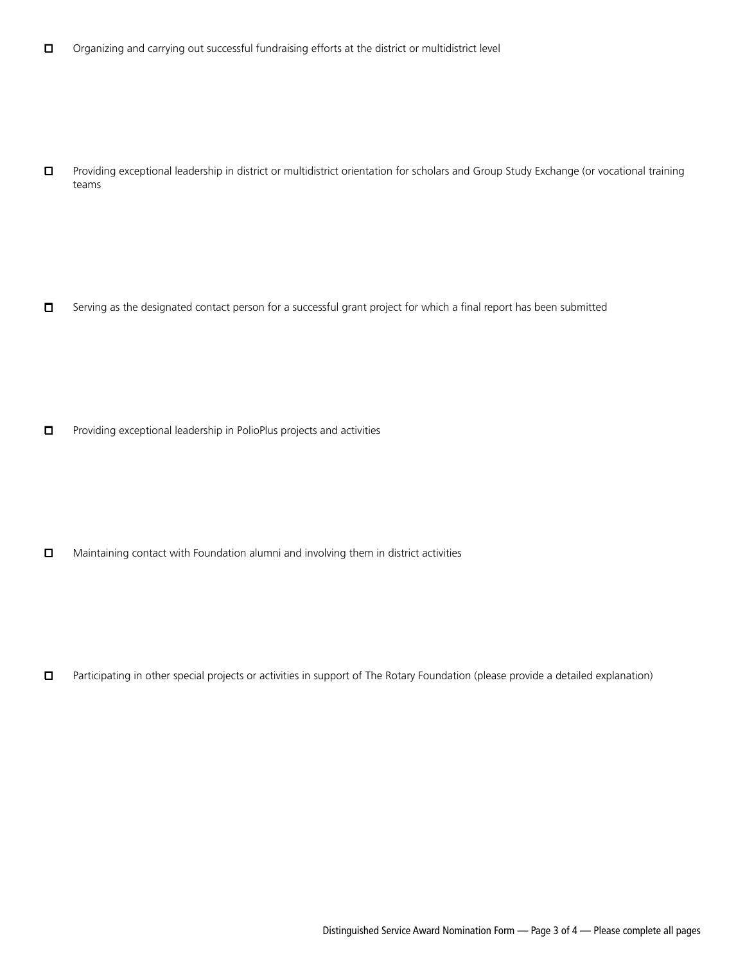o Providing exceptional leadership in district or multidistrict orientation for scholars and Group Study Exchange (or vocational training teams

 $\square$  Serving as the designated contact person for a successful grant project for which a final report has been submitted

 $\Box$  Providing exceptional leadership in PolioPlus projects and activities

 $\Box$  Maintaining contact with Foundation alumni and involving them in district activities

□ Participating in other special projects or activities in support of The Rotary Foundation (please provide a detailed explanation)